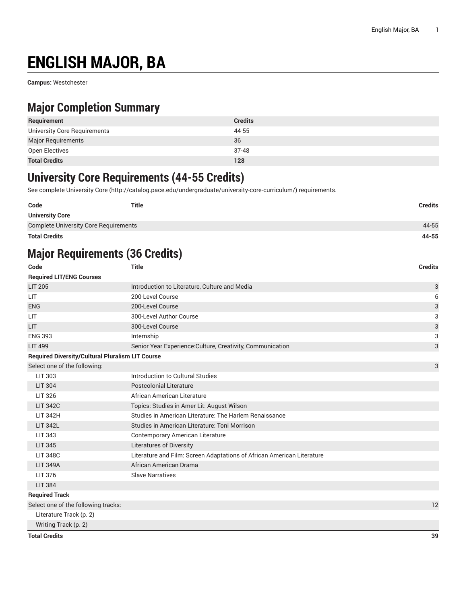# **ENGLISH MAJOR, BA**

**Campus:** Westchester

### **Major Completion Summary**

| Requirement                  | <b>Credits</b> |
|------------------------------|----------------|
| University Core Requirements | 44-55          |
| <b>Major Requirements</b>    | 36             |
| Open Electives               | $37-48$        |
| <b>Total Credits</b>         | 128            |

### **University Core Requirements (44-55 Credits)**

See complete [University](http://catalog.pace.edu/undergraduate/university-core-curriculum/) Core (<http://catalog.pace.edu/undergraduate/university-core-curriculum/>) requirements.

| Code                                         | <b>Title</b> | <b>Credits</b> |
|----------------------------------------------|--------------|----------------|
| <b>University Core</b>                       |              |                |
| <b>Complete University Core Requirements</b> |              | 44-55          |
| <b>Total Credits</b>                         |              | 44-55          |

### **Major Requirements (36 Credits)**

| Code                                                    | <b>Title</b>                                                           | <b>Credits</b> |
|---------------------------------------------------------|------------------------------------------------------------------------|----------------|
| <b>Required LIT/ENG Courses</b>                         |                                                                        |                |
| <b>LIT 205</b>                                          | Introduction to Literature, Culture and Media                          | 3              |
| <b>LIT</b>                                              | 200-Level Course                                                       | 6              |
| <b>ENG</b>                                              | 200-Level Course                                                       | 3              |
| <b>LIT</b>                                              | 300-Level Author Course                                                | 3              |
| <b>LIT</b>                                              | 300-Level Course                                                       | 3              |
| <b>ENG 393</b>                                          | Internship                                                             | 3              |
| <b>LIT 499</b>                                          | Senior Year Experience: Culture, Creativity, Communication             | 3              |
| <b>Required Diversity/Cultural Pluralism LIT Course</b> |                                                                        |                |
| Select one of the following:                            |                                                                        | 3              |
| LIT 303                                                 | Introduction to Cultural Studies                                       |                |
| <b>LIT 304</b>                                          | Postcolonial Literature                                                |                |
| LIT 326                                                 | African American Literature                                            |                |
| <b>LIT 342C</b>                                         | Topics: Studies in Amer Lit: August Wilson                             |                |
| <b>LIT 342H</b>                                         | Studies in American Literature: The Harlem Renaissance                 |                |
| <b>LIT 342L</b>                                         | Studies in American Literature: Toni Morrison                          |                |
| <b>LIT 343</b>                                          | <b>Contemporary American Literature</b>                                |                |
| <b>LIT 345</b>                                          | <b>Literatures of Diversity</b>                                        |                |
| <b>LIT 348C</b>                                         | Literature and Film: Screen Adaptations of African American Literature |                |
| <b>LIT 349A</b>                                         | African American Drama                                                 |                |
| LIT 376                                                 | <b>Slave Narratives</b>                                                |                |
| <b>LIT 384</b>                                          |                                                                        |                |
| <b>Required Track</b>                                   |                                                                        |                |
| Select one of the following tracks:                     |                                                                        | 12             |
| Literature Track (p. 2)                                 |                                                                        |                |
| Writing Track (p. 2)                                    |                                                                        |                |
| <b>Total Credits</b>                                    |                                                                        | 39             |